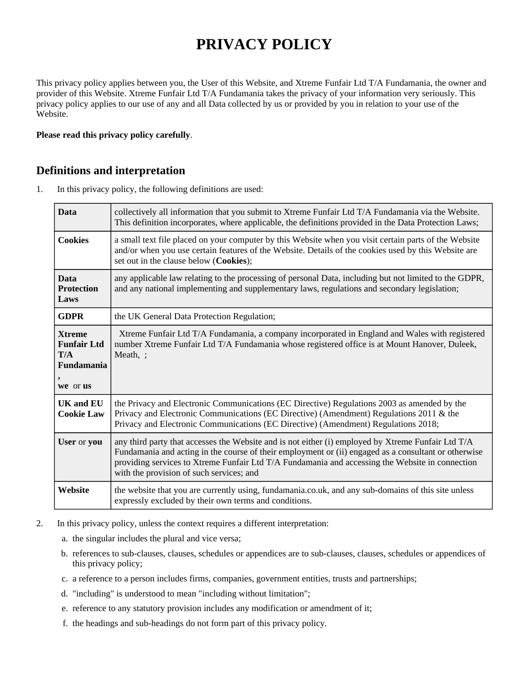# **PRIVACY POLICY**

This privacy policy applies between you, the User of this Website, and Xtreme Funfair Ltd T/A Fundamania, the owner and provider of this Website. Xtreme Funfair Ltd T/A Fundamania takes the privacy of your information very seriously. This privacy policy applies to our use of any and all Data collected by us or provided by you in relation to your use of the Website.

#### **Please read this privacy policy carefully**.

#### **Definitions and interpretation**

1. In this privacy policy, the following definitions are used:

| <b>Data</b>                                                                 | collectively all information that you submit to Xtreme Funfair Ltd T/A Fundamania via the Website.<br>This definition incorporates, where applicable, the definitions provided in the Data Protection Laws;                                                                                                                                               |
|-----------------------------------------------------------------------------|-----------------------------------------------------------------------------------------------------------------------------------------------------------------------------------------------------------------------------------------------------------------------------------------------------------------------------------------------------------|
| <b>Cookies</b>                                                              | a small text file placed on your computer by this Website when you visit certain parts of the Website<br>and/or when you use certain features of the Website. Details of the cookies used by this Website are<br>set out in the clause below (Cookies);                                                                                                   |
| <b>Data</b><br><b>Protection</b><br>Laws                                    | any applicable law relating to the processing of personal Data, including but not limited to the GDPR,<br>and any national implementing and supplementary laws, regulations and secondary legislation;                                                                                                                                                    |
| <b>GDPR</b>                                                                 | the UK General Data Protection Regulation;                                                                                                                                                                                                                                                                                                                |
| <b>Xtreme</b><br><b>Funfair Ltd</b><br>T/A<br><b>Fundamania</b><br>we or us | Xtreme Funfair Ltd T/A Fundamania, a company incorporated in England and Wales with registered<br>number Xtreme Funfair Ltd T/A Fundamania whose registered office is at Mount Hanover, Duleek,<br>Meath, ;                                                                                                                                               |
| <b>UK and EU</b><br><b>Cookie Law</b>                                       | the Privacy and Electronic Communications (EC Directive) Regulations 2003 as amended by the<br>Privacy and Electronic Communications (EC Directive) (Amendment) Regulations 2011 & the<br>Privacy and Electronic Communications (EC Directive) (Amendment) Regulations 2018;                                                                              |
| User or you                                                                 | any third party that accesses the Website and is not either (i) employed by Xtreme Funfair Ltd T/A<br>Fundamania and acting in the course of their employment or (ii) engaged as a consultant or otherwise<br>providing services to Xtreme Funfair Ltd T/A Fundamania and accessing the Website in connection<br>with the provision of such services; and |
| Website                                                                     | the website that you are currently using, fundamania.co.uk, and any sub-domains of this site unless<br>expressly excluded by their own terms and conditions.                                                                                                                                                                                              |

- 2. In this privacy policy, unless the context requires a different interpretation:
	- a. the singular includes the plural and vice versa;
	- b. references to sub-clauses, clauses, schedules or appendices are to sub-clauses, clauses, schedules or appendices of this privacy policy;
	- c. a reference to a person includes firms, companies, government entities, trusts and partnerships;
	- d. "including" is understood to mean "including without limitation";
	- e. reference to any statutory provision includes any modification or amendment of it;
	- f. the headings and sub-headings do not form part of this privacy policy.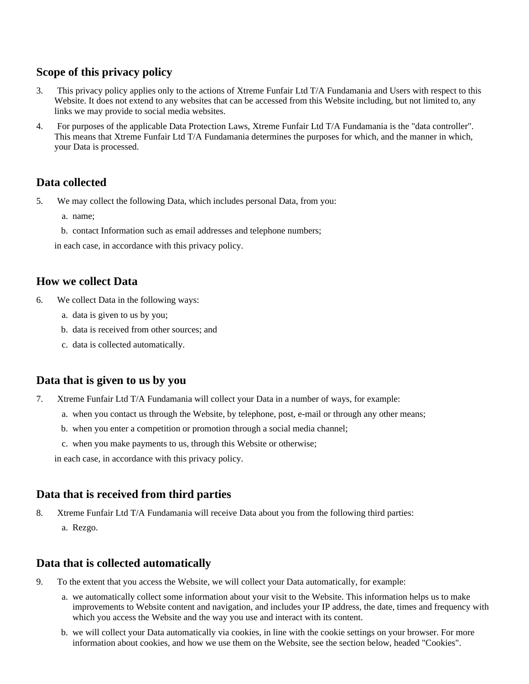# **Scope of this privacy policy**

- 3. This privacy policy applies only to the actions of Xtreme Funfair Ltd T/A Fundamania and Users with respect to this Website. It does not extend to any websites that can be accessed from this Website including, but not limited to, any links we may provide to social media websites.
- 4. For purposes of the applicable Data Protection Laws, Xtreme Funfair Ltd T/A Fundamania is the "data controller". This means that Xtreme Funfair Ltd T/A Fundamania determines the purposes for which, and the manner in which, your Data is processed.

# **Data collected**

- 5. We may collect the following Data, which includes personal Data, from you:
	- a. name;
	- b. contact Information such as email addresses and telephone numbers;

in each case, in accordance with this privacy policy.

#### **How we collect Data**

- 6. We collect Data in the following ways:
	- a. data is given to us by you;
	- b. data is received from other sources; and
	- c. data is collected automatically.

# **Data that is given to us by you**

- 7. Xtreme Funfair Ltd T/A Fundamania will collect your Data in a number of ways, for example:
	- a. when you contact us through the Website, by telephone, post, e-mail or through any other means;
	- b. when you enter a competition or promotion through a social media channel;
	- c. when you make payments to us, through this Website or otherwise;

in each case, in accordance with this privacy policy.

#### **Data that is received from third parties**

- 8. Xtreme Funfair Ltd T/A Fundamania will receive Data about you from the following third parties:
	- a. Rezgo.

#### **Data that is collected automatically**

- 9. To the extent that you access the Website, we will collect your Data automatically, for example:
	- a. we automatically collect some information about your visit to the Website. This information helps us to make improvements to Website content and navigation, and includes your IP address, the date, times and frequency with which you access the Website and the way you use and interact with its content.
	- b. we will collect your Data automatically via cookies, in line with the cookie settings on your browser. For more information about cookies, and how we use them on the Website, see the section below, headed "Cookies".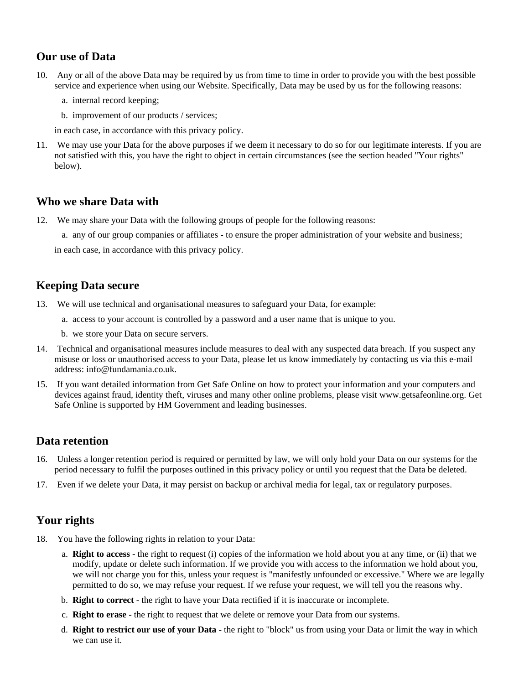# **Our use of Data**

- 10. Any or all of the above Data may be required by us from time to time in order to provide you with the best possible service and experience when using our Website. Specifically, Data may be used by us for the following reasons:
	- a. internal record keeping;
	- b. improvement of our products / services;

in each case, in accordance with this privacy policy.

11. We may use your Data for the above purposes if we deem it necessary to do so for our legitimate interests. If you are not satisfied with this, you have the right to object in certain circumstances (see the section headed "Your rights" below).

### **Who we share Data with**

12. We may share your Data with the following groups of people for the following reasons:

a. any of our group companies or affiliates - to ensure the proper administration of your website and business;

in each case, in accordance with this privacy policy.

### **Keeping Data secure**

- 13. We will use technical and organisational measures to safeguard your Data, for example:
	- a. access to your account is controlled by a password and a user name that is unique to you.
	- b. we store your Data on secure servers.
- 14. Technical and organisational measures include measures to deal with any suspected data breach. If you suspect any misuse or loss or unauthorised access to your Data, please let us know immediately by contacting us via this e-mail address: info@fundamania.co.uk.
- 15. If you want detailed information from Get Safe Online on how to protect your information and your computers and devices against fraud, identity theft, viruses and many other online problems, please visit www.getsafeonline.org. Get Safe Online is supported by HM Government and leading businesses.

# **Data retention**

- 16. Unless a longer retention period is required or permitted by law, we will only hold your Data on our systems for the period necessary to fulfil the purposes outlined in this privacy policy or until you request that the Data be deleted.
- 17. Even if we delete your Data, it may persist on backup or archival media for legal, tax or regulatory purposes.

# **Your rights**

- 18. You have the following rights in relation to your Data:
	- a. **Right to access** the right to request (i) copies of the information we hold about you at any time, or (ii) that we modify, update or delete such information. If we provide you with access to the information we hold about you, we will not charge you for this, unless your request is "manifestly unfounded or excessive." Where we are legally permitted to do so, we may refuse your request. If we refuse your request, we will tell you the reasons why.
	- b. **Right to correct** the right to have your Data rectified if it is inaccurate or incomplete.
	- c. **Right to erase** the right to request that we delete or remove your Data from our systems.
	- d. **Right to restrict our use of your Data** the right to "block" us from using your Data or limit the way in which we can use it.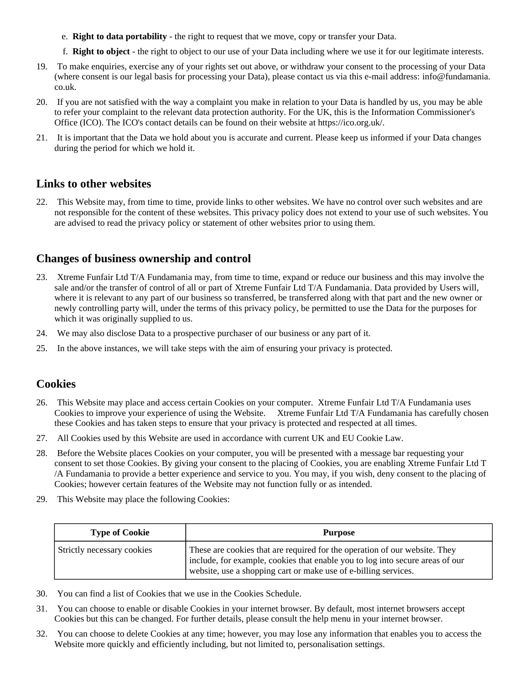- e. **Right to data portability** the right to request that we move, copy or transfer your Data.
- f. **Right to object** the right to object to our use of your Data including where we use it for our legitimate interests.
- 19. To make enquiries, exercise any of your rights set out above, or withdraw your consent to the processing of your Data (where consent is our legal basis for processing your Data), please contact us via this e-mail address: info@fundamania. co.uk.
- 20. If you are not satisfied with the way a complaint you make in relation to your Data is handled by us, you may be able to refer your complaint to the relevant data protection authority. For the UK, this is the Information Commissioner's Office (ICO). The ICO's contact details can be found on their website at https://ico.org.uk/.
- 21. It is important that the Data we hold about you is accurate and current. Please keep us informed if your Data changes during the period for which we hold it.

#### **Links to other websites**

22. This Website may, from time to time, provide links to other websites. We have no control over such websites and are not responsible for the content of these websites. This privacy policy does not extend to your use of such websites. You are advised to read the privacy policy or statement of other websites prior to using them.

# **Changes of business ownership and control**

- 23. Xtreme Funfair Ltd T/A Fundamania may, from time to time, expand or reduce our business and this may involve the sale and/or the transfer of control of all or part of Xtreme Funfair Ltd T/A Fundamania. Data provided by Users will, where it is relevant to any part of our business so transferred, be transferred along with that part and the new owner or newly controlling party will, under the terms of this privacy policy, be permitted to use the Data for the purposes for which it was originally supplied to us.
- 24. We may also disclose Data to a prospective purchaser of our business or any part of it.
- 25. In the above instances, we will take steps with the aim of ensuring your privacy is protected.

# **Cookies**

- 26. This Website may place and access certain Cookies on your computer. Xtreme Funfair Ltd T/A Fundamania uses Cookies to improve your experience of using the Website. Xtreme Funfair Ltd T/A Fundamania has carefully chosen these Cookies and has taken steps to ensure that your privacy is protected and respected at all times.
- 27. All Cookies used by this Website are used in accordance with current UK and EU Cookie Law.
- 28. Before the Website places Cookies on your computer, you will be presented with a message bar requesting your consent to set those Cookies. By giving your consent to the placing of Cookies, you are enabling Xtreme Funfair Ltd T /A Fundamania to provide a better experience and service to you. You may, if you wish, deny consent to the placing of Cookies; however certain features of the Website may not function fully or as intended.
- 29. This Website may place the following Cookies:

| <b>Type of Cookie</b>      | <b>Purpose</b>                                                                                                                                                                                                                 |
|----------------------------|--------------------------------------------------------------------------------------------------------------------------------------------------------------------------------------------------------------------------------|
| Strictly necessary cookies | These are cookies that are required for the operation of our website. They<br>include, for example, cookies that enable you to log into secure areas of our<br>website, use a shopping cart or make use of e-billing services. |

- 30. You can find a list of Cookies that we use in the Cookies Schedule.
- 31. You can choose to enable or disable Cookies in your internet browser. By default, most internet browsers accept Cookies but this can be changed. For further details, please consult the help menu in your internet browser.
- 32. You can choose to delete Cookies at any time; however, you may lose any information that enables you to access the Website more quickly and efficiently including, but not limited to, personalisation settings.